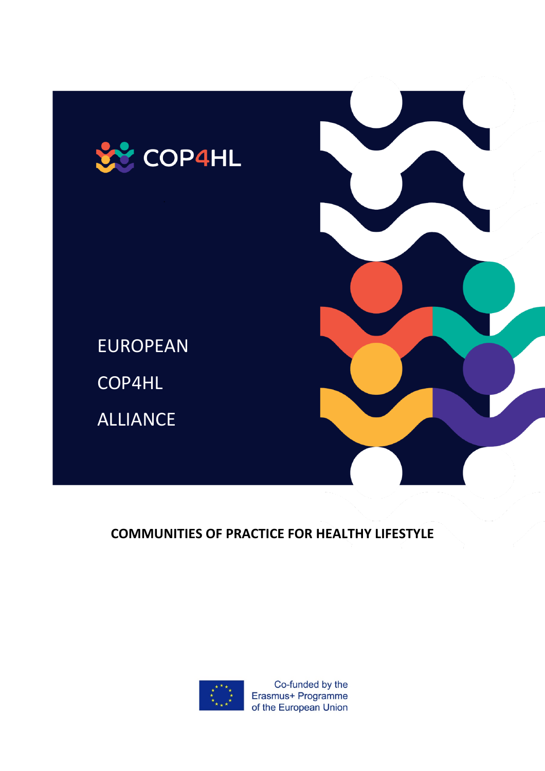

EUROPEAN COP4HL

ALLIANCE

**COMMUNITIES OF PRACTICE FOR HEALTHY LIFESTYLE** 



Co-funded by the Erasmus+ Programme of the European Union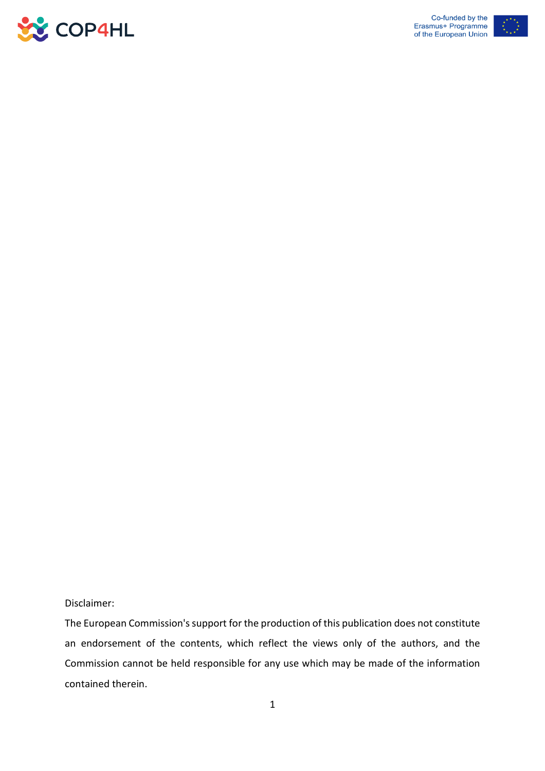



# Disclaimer:

The European Commission's support for the production of this publication does not constitute an endorsement of the contents, which reflect the views only of the authors, and the Commission cannot be held responsible for any use which may be made of the information contained therein.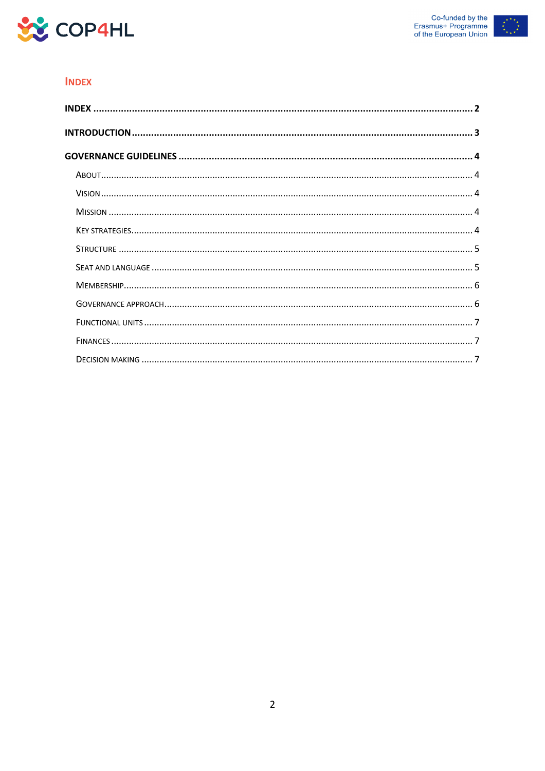



## **INDEX**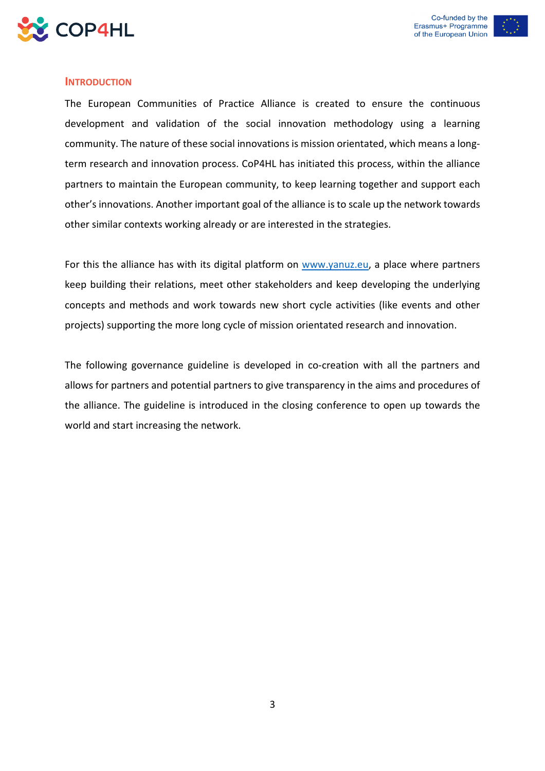

## **INTRODUCTION**

The European Communities of Practice Alliance is created to ensure the continuous development and validation of the social innovation methodology using a learning community. The nature of these social innovations is mission orientated, which means a longterm research and innovation process. CoP4HL has initiated this process, within the alliance partners to maintain the European community, to keep learning together and support each other's innovations. Another important goal of the alliance is to scale up the network towards other similar contexts working already or are interested in the strategies.

For this the alliance has with its digital platform on [www.yanuz.eu,](http://www.yanuz.eu/) a place where partners keep building their relations, meet other stakeholders and keep developing the underlying concepts and methods and work towards new short cycle activities (like events and other projects) supporting the more long cycle of mission orientated research and innovation.

The following governance guideline is developed in co-creation with all the partners and allows for partners and potential partners to give transparency in the aims and procedures of the alliance. The guideline is introduced in the closing conference to open up towards the world and start increasing the network.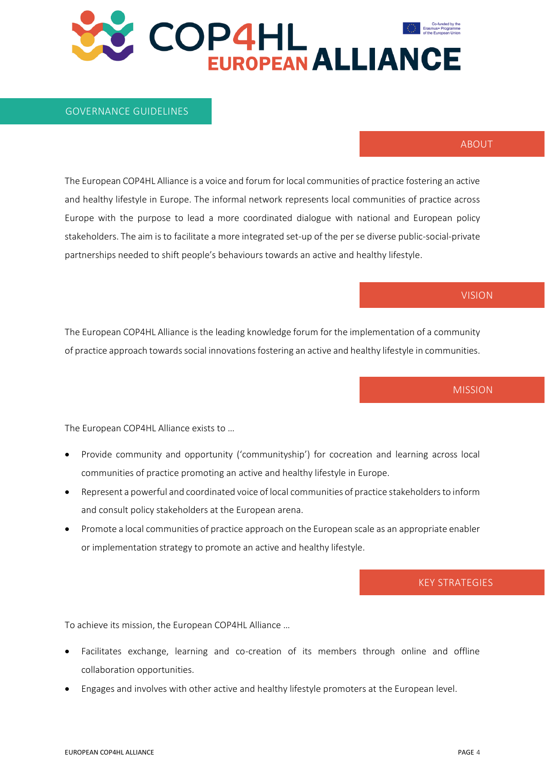#### GOVERNANCE GUIDELINES

#### ABOUT

The European COP4HL Alliance is a voice and forum for local communities of practice fostering an active and healthy lifestyle in Europe. The informal network represents local communities of practice across Europe with the purpose to lead a more coordinated dialogue with national and European policy stakeholders. The aim is to facilitate a more integrated set-up of the per se diverse public-social-private partnerships needed to shift people's behaviours towards an active and healthy lifestyle.

## VISION

The European COP4HL Alliance is the leading knowledge forum for the implementation of a community of practice approach towards social innovations fostering an active and healthy lifestyle in communities.

#### **MISSION**

The European COP4HL Alliance exists to …

- Provide community and opportunity ('communityship') for cocreation and learning across local communities of practice promoting an active and healthy lifestyle in Europe.
- Represent a powerful and coordinated voice of local communities of practice stakeholders to inform and consult policy stakeholders at the European arena.
- Promote a local communities of practice approach on the European scale as an appropriate enabler or implementation strategy to promote an active and healthy lifestyle.

## KEY STRATEGIES

To achieve its mission, the European COP4HL Alliance …

- Facilitates exchange, learning and co-creation of its members through online and offline collaboration opportunities.
- Engages and involves with other active and healthy lifestyle promoters at the European level.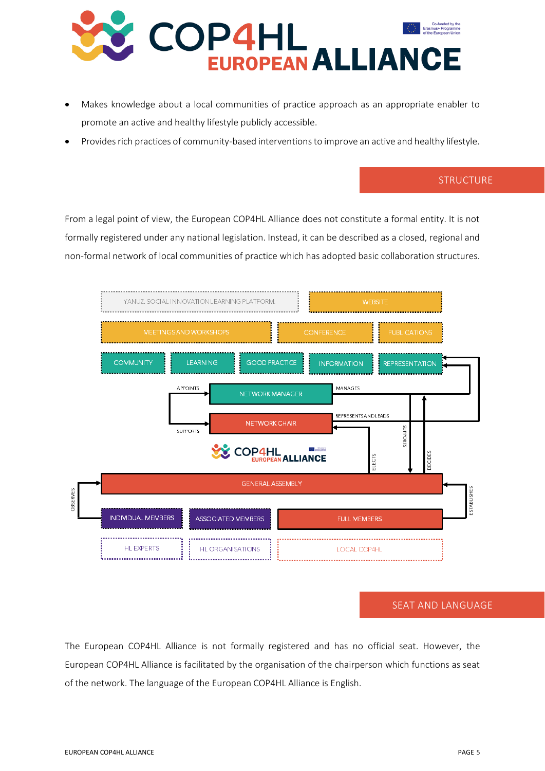

- Makes knowledge about a local communities of practice approach as an appropriate enabler to promote an active and healthy lifestyle publicly accessible.
- Provides rich practices of community-based interventions to improve an active and healthy lifestyle.

## **STRUCTURE**

From a legal point of view, the European COP4HL Alliance does not constitute a formal entity. It is not formally registered under any national legislation. Instead, it can be described as a closed, regional and non-formal network of local communities of practice which has adopted basic collaboration structures.



#### SEAT AND LANGUAGE

The European COP4HL Alliance is not formally registered and has no official seat. However, the European COP4HL Alliance is facilitated by the organisation of the chairperson which functions as seat of the network. The language of the European COP4HL Alliance is English.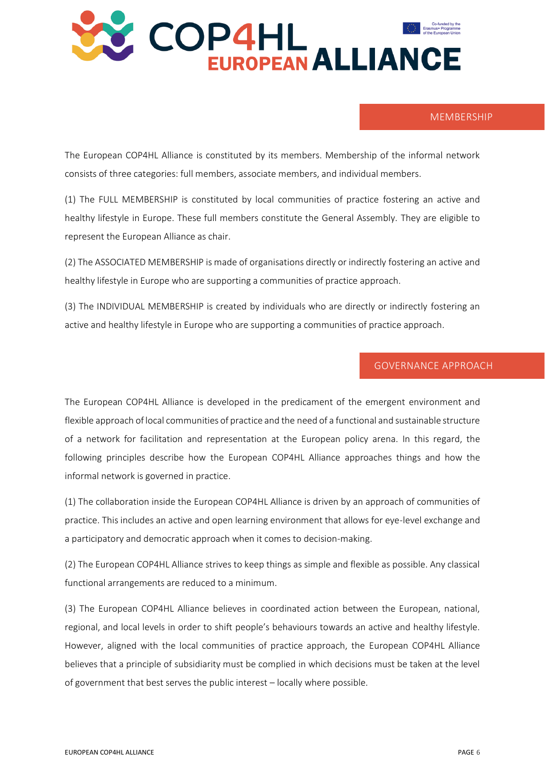

#### MEMBERSHIP

The European COP4HL Alliance is constituted by its members. Membership of the informal network consists of three categories: full members, associate members, and individual members.

(1) The FULL MEMBERSHIP is constituted by local communities of practice fostering an active and healthy lifestyle in Europe. These full members constitute the General Assembly. They are eligible to represent the European Alliance as chair.

(2) The ASSOCIATED MEMBERSHIP is made of organisations directly or indirectly fostering an active and healthy lifestyle in Europe who are supporting a communities of practice approach.

(3) The INDIVIDUAL MEMBERSHIP is created by individuals who are directly or indirectly fostering an active and healthy lifestyle in Europe who are supporting a communities of practice approach.

## GOVERNANCE APPROACH

The European COP4HL Alliance is developed in the predicament of the emergent environment and flexible approach of local communities of practice and the need of a functional and sustainable structure of a network for facilitation and representation at the European policy arena. In this regard, the following principles describe how the European COP4HL Alliance approaches things and how the informal network is governed in practice.

(1) The collaboration inside the European COP4HL Alliance is driven by an approach of communities of practice. This includes an active and open learning environment that allows for eye-level exchange and a participatory and democratic approach when it comes to decision-making.

(2) The European COP4HL Alliance strives to keep things as simple and flexible as possible. Any classical functional arrangements are reduced to a minimum.

(3) The European COP4HL Alliance believes in coordinated action between the European, national, regional, and local levels in order to shift people's behaviours towards an active and healthy lifestyle. However, aligned with the local communities of practice approach, the European COP4HL Alliance believes that a principle of subsidiarity must be complied in which decisions must be taken at the level of government that best serves the public interest – locally where possible.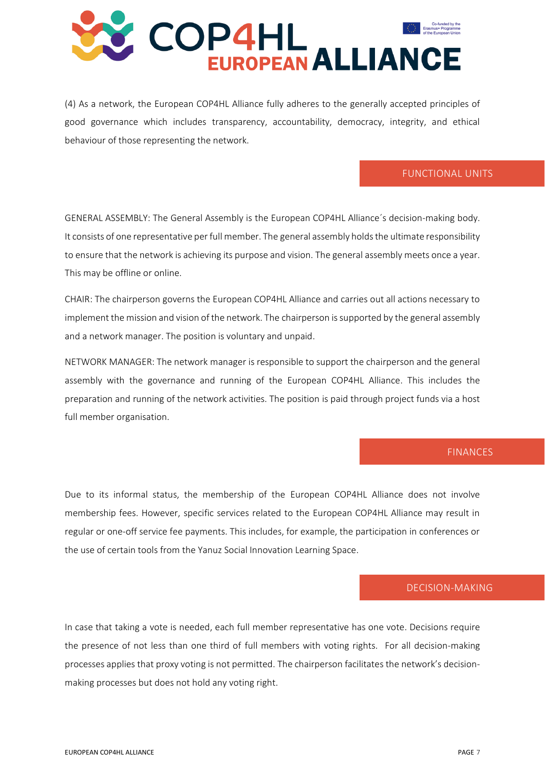

(4) As a network, the European COP4HL Alliance fully adheres to the generally accepted principles of good governance which includes transparency, accountability, democracy, integrity, and ethical behaviour of those representing the network.

## FUNCTIONAL UNITS

GENERAL ASSEMBLY: The General Assembly is the European COP4HL Alliance´s decision-making body. It consists of one representative per full member. The general assembly holds the ultimate responsibility to ensure that the network is achieving its purpose and vision. The general assembly meets once a year. This may be offline or online.

CHAIR: The chairperson governs the European COP4HL Alliance and carries out all actions necessary to implement the mission and vision of the network. The chairperson is supported by the general assembly and a network manager. The position is voluntary and unpaid.

NETWORK MANAGER: The network manager is responsible to support the chairperson and the general assembly with the governance and running of the European COP4HL Alliance. This includes the preparation and running of the network activities. The position is paid through project funds via a host full member organisation.

#### FINANCES

Due to its informal status, the membership of the European COP4HL Alliance does not involve membership fees. However, specific services related to the European COP4HL Alliance may result in regular or one-off service fee payments. This includes, for example, the participation in conferences or the use of certain tools from the Yanuz Social Innovation Learning Space.

#### DECISION-MAKING

In case that taking a vote is needed, each full member representative has one vote. Decisions require the presence of not less than one third of full members with voting rights. For all decision-making processes applies that proxy voting is not permitted. The chairperson facilitates the network's decisionmaking processes but does not hold any voting right.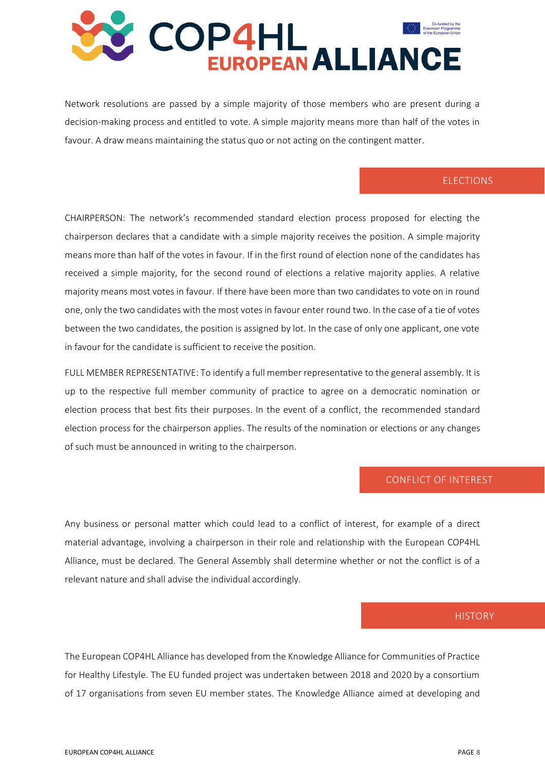

Network resolutions are passed by a simple majority of those members who are present during a decision-making process and entitled to vote. A simple majority means more than half of the votes in favour. A draw means maintaining the status quo or not acting on the contingent matter.

#### ELECTIONS

CHAIRPERSON: The network's recommended standard election process proposed for electing the chairperson declares that a candidate with a simple majority receives the position. A simple majority means more than half of the votes in favour. If in the first round of election none of the candidates has received a simple majority, for the second round of elections a relative majority applies. A relative majority means most votes in favour. If there have been more than two candidates to vote on in round one, only the two candidates with the most votes in favour enter round two. In the case of a tie of votes between the two candidates, the position is assigned by lot. In the case of only one applicant, one vote in favour for the candidate is sufficient to receive the position.

FULL MEMBER REPRESENTATIVE: To identify a full member representative to the general assembly. It is up to the respective full member community of practice to agree on a democratic nomination or election process that best fits their purposes. In the event of a conflict, the recommended standard election process for the chairperson applies. The results of the nomination or elections or any changes of such must be announced in writing to the chairperson.

#### CONFLICT OF INTEREST

Any business or personal matter which could lead to a conflict of interest, for example of a direct material advantage, involving a chairperson in their role and relationship with the European COP4HL Alliance, must be declared. The General Assembly shall determine whether or not the conflict is of a relevant nature and shall advise the individual accordingly.

#### **HISTORY**

The European COP4HL Alliance has developed from the Knowledge Alliance for Communities of Practice for Healthy Lifestyle. The EU funded project was undertaken between 2018 and 2020 by a consortium of 17 organisations from seven EU member states. The Knowledge Alliance aimed at developing and